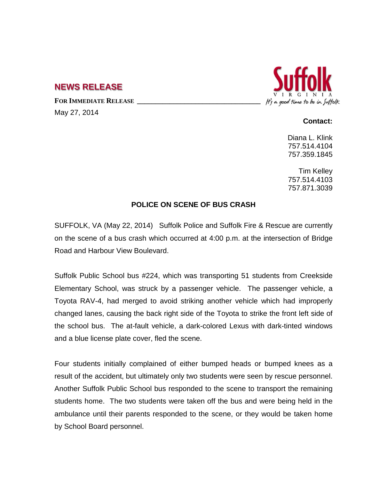## **NEWS RELEASE**

FOR IMMEDIATE RELEASE

May 27, 2014



## **Contact:**

Diana L. Klink 757.514.4104 757.359.1845

Tim Kelley 757.514.4103 757.871.3039

## **POLICE ON SCENE OF BUS CRASH**

SUFFOLK, VA (May 22, 2014) Suffolk Police and Suffolk Fire & Rescue are currently on the scene of a bus crash which occurred at 4:00 p.m. at the intersection of Bridge Road and Harbour View Boulevard.

Suffolk Public School bus #224, which was transporting 51 students from Creekside Elementary School, was struck by a passenger vehicle. The passenger vehicle, a Toyota RAV-4, had merged to avoid striking another vehicle which had improperly changed lanes, causing the back right side of the Toyota to strike the front left side of the school bus. The at-fault vehicle, a dark-colored Lexus with dark-tinted windows and a blue license plate cover, fled the scene.

Four students initially complained of either bumped heads or bumped knees as a result of the accident, but ultimately only two students were seen by rescue personnel. Another Suffolk Public School bus responded to the scene to transport the remaining students home. The two students were taken off the bus and were being held in the ambulance until their parents responded to the scene, or they would be taken home by School Board personnel.